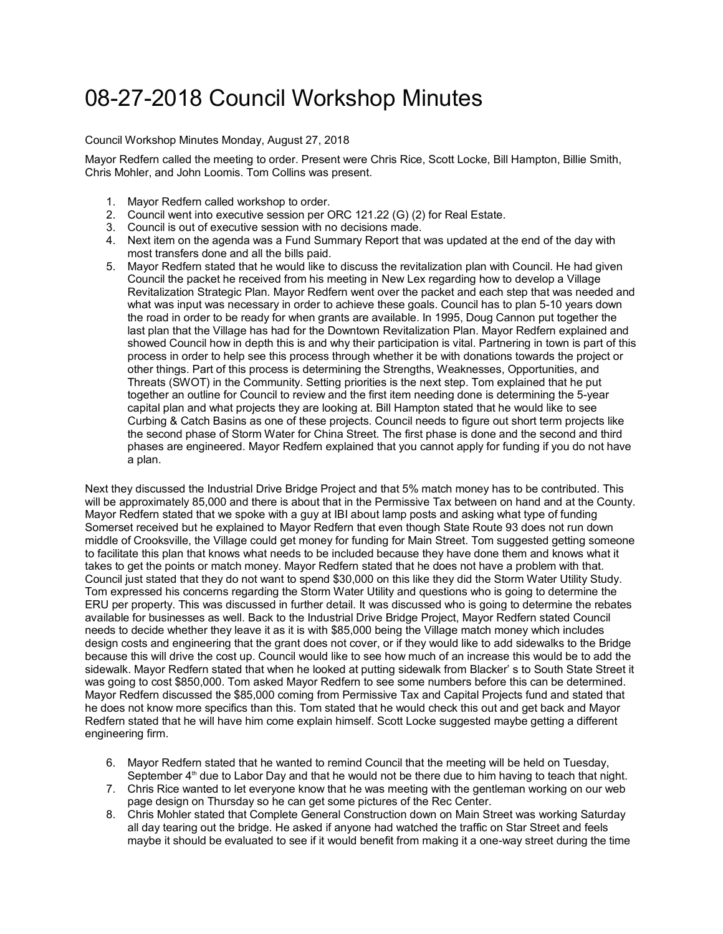## 08-27-2018 Council Workshop Minutes

## Council Workshop Minutes Monday, August 27, 2018

Mayor Redfern called the meeting to order. Present were Chris Rice, Scott Locke, Bill Hampton, Billie Smith, Chris Mohler, and John Loomis. Tom Collins was present.

- 1. Mayor Redfern called workshop to order.
- 2. Council went into executive session per ORC 121.22 (G) (2) for Real Estate.
- 3. Council is out of executive session with no decisions made.
- 4. Next item on the agenda was a Fund Summary Report that was updated at the end of the day with most transfers done and all the bills paid.
- 5. Mayor Redfern stated that he would like to discuss the revitalization plan with Council. He had given Council the packet he received from his meeting in New Lex regarding how to develop a Village Revitalization Strategic Plan. Mayor Redfern went over the packet and each step that was needed and what was input was necessary in order to achieve these goals. Council has to plan 5-10 years down the road in order to be ready for when grants are available. In 1995, Doug Cannon put together the last plan that the Village has had for the Downtown Revitalization Plan. Mayor Redfern explained and showed Council how in depth this is and why their participation is vital. Partnering in town is part of this process in order to help see this process through whether it be with donations towards the project or other things. Part of this process is determining the Strengths, Weaknesses, Opportunities, and Threats (SWOT) in the Community. Setting priorities is the next step. Tom explained that he put together an outline for Council to review and the first item needing done is determining the 5-year capital plan and what projects they are looking at. Bill Hampton stated that he would like to see Curbing & Catch Basins as one of these projects. Council needs to figure out short term projects like the second phase of Storm Water for China Street. The first phase is done and the second and third phases are engineered. Mayor Redfern explained that you cannot apply for funding if you do not have a plan.

Next they discussed the Industrial Drive Bridge Project and that 5% match money has to be contributed. This will be approximately 85,000 and there is about that in the Permissive Tax between on hand and at the County. Mayor Redfern stated that we spoke with a guy at IBI about lamp posts and asking what type of funding Somerset received but he explained to Mayor Redfern that even though State Route 93 does not run down middle of Crooksville, the Village could get money for funding for Main Street. Tom suggested getting someone to facilitate this plan that knows what needs to be included because they have done them and knows what it takes to get the points or match money. Mayor Redfern stated that he does not have a problem with that. Council just stated that they do not want to spend \$30,000 on this like they did the Storm Water Utility Study. Tom expressed his concerns regarding the Storm Water Utility and questions who is going to determine the ERU per property. This was discussed in further detail. It was discussed who is going to determine the rebates available for businesses as well. Back to the Industrial Drive Bridge Project, Mayor Redfern stated Council needs to decide whether they leave it as it is with \$85,000 being the Village match money which includes design costs and engineering that the grant does not cover, or if they would like to add sidewalks to the Bridge because this will drive the cost up. Council would like to see how much of an increase this would be to add the sidewalk. Mayor Redfern stated that when he looked at putting sidewalk from Blacker' s to South State Street it was going to cost \$850,000. Tom asked Mayor Redfern to see some numbers before this can be determined. Mayor Redfern discussed the \$85,000 coming from Permissive Tax and Capital Projects fund and stated that he does not know more specifics than this. Tom stated that he would check this out and get back and Mayor Redfern stated that he will have him come explain himself. Scott Locke suggested maybe getting a different engineering firm.

- 6. Mayor Redfern stated that he wanted to remind Council that the meeting will be held on Tuesday, September  $4<sup>th</sup>$  due to Labor Day and that he would not be there due to him having to teach that night.
- 7. Chris Rice wanted to let everyone know that he was meeting with the gentleman working on our web page design on Thursday so he can get some pictures of the Rec Center.
- 8. Chris Mohler stated that Complete General Construction down on Main Street was working Saturday all day tearing out the bridge. He asked if anyone had watched the traffic on Star Street and feels maybe it should be evaluated to see if it would benefit from making it a one-way street during the time